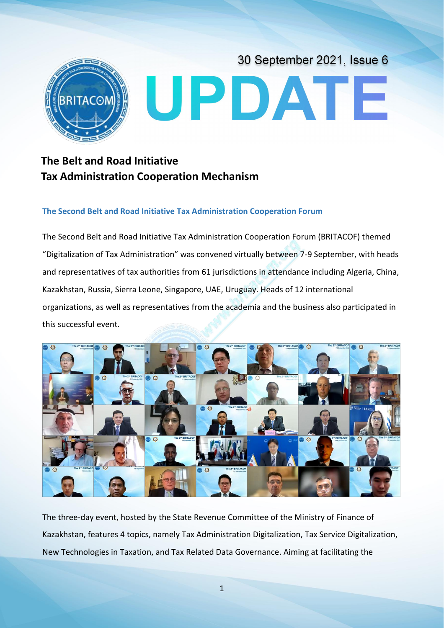

# **The Belt and Road Initiative Tax Administration Cooperation Mechanism**

# **The Second Belt and Road Initiative Tax Administration Cooperation Forum**

The Second Belt and Road Initiative Tax Administration Cooperation Forum (BRITACOF) themed "Digitalization of Tax Administration" was convened virtually between 7-9 September, with heads and representatives of tax authorities from 61 jurisdictions in attendance including Algeria, China, Kazakhstan, Russia, Sierra Leone, Singapore, UAE, Uruguay. Heads of 12 international organizations, as well as representatives from the academia and the business also participated in this successful event.



The three-day event, hosted by the State Revenue Committee of the Ministry of Finance of Kazakhstan, features 4 topics, namely Tax Administration Digitalization, Tax Service Digitalization, New Technologies in Taxation, and Tax Related Data Governance. Aiming at facilitating the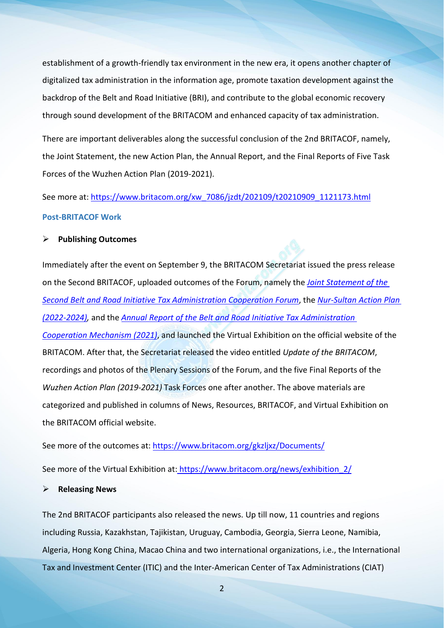establishment of a growth-friendly tax environment in the new era, it opens another chapter of digitalized tax administration in the information age, promote taxation development against the backdrop of the Belt and Road Initiative (BRI), and contribute to the global economic recovery through sound development of the BRITACOM and enhanced capacity of tax administration.

There are important deliverables along the successful conclusion of the 2nd BRITACOF, namely, the Joint Statement, the new Action Plan, the Annual Report, and the Final Reports of Five Task Forces of the Wuzhen Action Plan (2019-2021).

See more at: https://www.britacom.org/xw\_7086/jzdt/202109/t20210909\_1121173.html **Post-BRITACOF Work**

### **Publishing Outcomes**

Immediately after the event on September 9, the BRITACOM Secretariat issued the press release on the Second BRITACOF, uploaded outcomes of the Forum, namely the *Joint [Statement](https://www.britacom.org/xw_7086/jzdt/202109/W020210909811337409945.pdf) of the Second Belt and Road Initiative Tax Administration Cooperation Forum*, the *[Nur-Sultan](https://www.britacom.org/xw_7086/jzdt/202109/W020210909811337404506.pdf) Action Plan (2022-2024),* and the *Annual Report of the Belt and Road Initiative Tax [Administration](https://www.britacom.org/xw_7086/jzdt/202109/W020210909811337559442.pdf) Cooperation Mechanism (2021)*, and launched the Virtual Exhibition on the official website of the BRITACOM. After that, the Secretariat released the video entitled *Update of the BRITACOM*, recordings and photos of the Plenary Sessions of the Forum, and the five Final Reports of the *Wuzhen Action Plan (2019-2021)* Task Forces one after another. The above materials are categorized and published in columns of News, Resources, BRITACOF, and Virtual Exhibition on the BRITACOM official website.

See more of the outcomes at: <https://www.britacom.org/gkzljxz/Documents/>

See more of the Virtual Exhibition at: https://www.britacom.org/news/exhibition 2/

#### **Releasing News**

The 2nd BRITACOF participants also released the news. Up till now, 11 countries and regions including Russia, Kazakhstan, Tajikistan, Uruguay, Cambodia, Georgia, Sierra Leone, Namibia, Algeria, Hong Kong China, Macao China and two international organizations, i.e., the International Tax and Investment Center (ITIC) and the Inter-American Center of Tax Administrations (CIAT)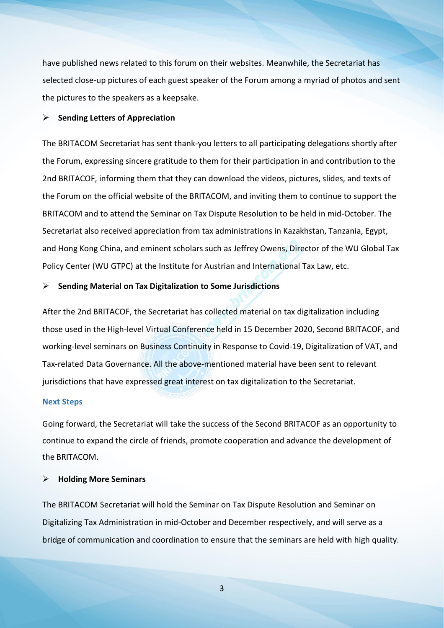have published news related to this forum on their websites. Meanwhile, the Secretariat has selected close-up pictures of each guest speaker of the Forum among a myriad of photos and sent the pictures to the speakers as a keepsake.

## **Sending Letters of Appreciation**

The BRITACOM Secretariat has sent thank-you letters to all participating delegations shortly after the Forum, expressing sincere gratitude to them for their participation in and contribution to the 2nd BRITACOF, informing them that they can download the videos, pictures, slides, and texts of the Forum on the official website of the BRITACOM, and inviting them to continue to support the BRITACOM and to attend the Seminar on Tax Dispute Resolution to be held in mid-October. The Secretariat also received appreciation from tax administrations in Kazakhstan, Tanzania, Egypt, and Hong Kong China, and eminent scholars such as Jeffrey Owens, Director of the WU Global Tax Policy Center (WU GTPC) at the Institute for Austrian and International Tax Law, etc.

## **Sending Material on Tax Digitalization to Some Jurisdictions**

After the 2nd BRITACOF, the Secretariat has collected material on tax digitalization including those used in the High-level Virtual Conference held in 15 December 2020, Second BRITACOF, and working-level seminars on Business Continuity in Response to Covid-19, Digitalization of VAT, and Tax-related Data Governance. All the above-mentioned material have been sent to relevant jurisdictions that have expressed great interest on tax digitalization to the Secretariat.

#### **Next Steps**

Going forward, the Secretariat will take the success of the Second BRITACOF as an opportunity to continue to expand the circle of friends, promote cooperation and advance the development of the BRITACOM.

#### **Holding More Seminars**

The BRITACOM Secretariat will hold the Seminar on Tax Dispute Resolution and Seminar on Digitalizing Tax Administration in mid-October and December respectively, and will serve as a bridge of communication and coordination to ensure that the seminars are held with high quality.

**3 3 1 1 1 1 1 1 1**